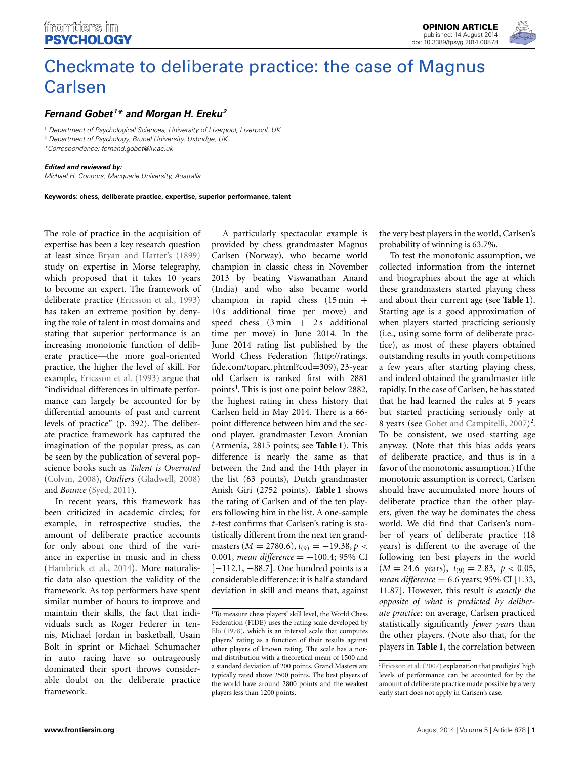# [Checkmate to deliberate practice: the case of Magnus](http://www.frontiersin.org/journal/10.3389/fpsyg.2014.00878/full) Carlsen

# *[Fernand Gobet](http://community.frontiersin.org/people/u/32115) <sup>1</sup> \* and [Morgan H. Ereku](http://community.frontiersin.org/people/u/173119)2*

*<sup>1</sup> Department of Psychological Sciences, University of Liverpool, Liverpool, UK*

*<sup>2</sup> Department of Psychology, Brunel University, Uxbridge, UK*

*\*Correspondence: [fernand.gobet@liv.ac.uk](mailto:fernand.gobet@liv.ac.uk)*

#### *Edited and reviewed by:*

*Michael H. Connors, Macquarie University, Australia*

**Keywords: chess, deliberate practice, expertise, superior performance, talent**

The role of practice in the acquisition of expertise has been a key research question at least since [Bryan and Harter's](#page-2-0) [\(1899](#page-2-0)) study on expertise in Morse telegraphy, which proposed that it takes 10 years to become an expert. The framework of deliberate practice [\(Ericsson et al.](#page-2-1), [1993](#page-2-1)) has taken an extreme position by denying the role of talent in most domains and stating that superior performance is an increasing monotonic function of deliberate practice—the more goal-oriented practice, the higher the level of skill. For example, [Ericsson et al.](#page-2-1) [\(1993](#page-2-1)) argue that "individual differences in ultimate performance can largely be accounted for by differential amounts of past and current levels of practice" (p. 392). The deliberate practice framework has captured the imagination of the popular press, as can be seen by the publication of several popscience books such as *Talent is Overrated* [\(Colvin](#page-2-2), [2008\)](#page-2-2), *Outliers* [\(Gladwell](#page-2-3), [2008](#page-2-3)) and *Bounce* [\(Syed, 2011\)](#page-2-4).

In recent years, this framework has been criticized in academic circles; for example, in retrospective studies, the amount of deliberate practice accounts for only about one third of the variance in expertise in music and in chess [\(Hambrick et al., 2014](#page-2-5)). More naturalistic data also question the validity of the framework. As top performers have spent similar number of hours to improve and maintain their skills, the fact that individuals such as Roger Federer in tennis, Michael Jordan in basketball, Usain Bolt in sprint or Michael Schumacher in auto racing have so outrageously dominated their sport throws considerable doubt on the deliberate practice framework.

A particularly spectacular example is provided by chess grandmaster Magnus Carlsen (Norway), who became world champion in classic chess in November 2013 by beating Viswanathan Anand (India) and who also became world champion in rapid chess  $(15 \text{ min} +$ 10 s additional time per move) and speed chess  $(3 \text{ min} + 2 \text{ s}$  additional time per move) in June 2014. In the June 2014 rating list published by the World Chess Federation [\(http://ratings](http://ratings.fide.com/toparc.phtml?cod=309)*.* fide*.*[com/toparc](http://ratings.fide.com/toparc.phtml?cod=309)*.*phtml?cod=309), 23-year old Carlsen is ranked first with 2881 points<sup>1</sup>. This is just one point below 2882, the highest rating in chess history that Carlsen held in May 2014. There is a 66 point difference between him and the second player, grandmaster Levon Aronian (Armenia, 2815 points; see **[Table 1](#page-1-0)**). This difference is nearly the same as that between the 2nd and the 14th player in the list (63 points), Dutch grandmaster Anish Giri (2752 points). **[Table 1](#page-1-0)** shows the rating of Carlsen and of the ten players following him in the list. A one-sample *t*-test confirms that Carlsen's rating is statistically different from the next ten grand $masters (M = 2780.6), t_{(9)} = -19.38, p <$ 0*.*001, *mean difference* = −100*.*4; 95% CI [−112.1, −88.7]. One hundred points is a considerable difference: it is half a standard deviation in skill and means that, against the very best players in the world, Carlsen's probability of winning is 63.7%.

To test the monotonic assumption, we collected information from the internet and biographies about the age at which these grandmasters started playing chess and about their current age (see **[Table 1](#page-1-0)**). Starting age is a good approximation of when players started practicing seriously (i.e., using some form of deliberate practice), as most of these players obtained outstanding results in youth competitions a few years after starting playing chess, and indeed obtained the grandmaster title rapidly. In the case of Carlsen, he has stated that he had learned the rules at 5 years but started practicing seriously only at 8 years (see [Gobet and Campitelli](#page-2-7), [2007](#page-2-7))<sup>2</sup>. To be consistent, we used starting age anyway. (Note that this bias adds years of deliberate practice, and thus is in a favor of the monotonic assumption.) If the monotonic assumption is correct, Carlsen should have accumulated more hours of deliberate practice than the other players, given the way he dominates the chess world. We did find that Carlsen's number of years of deliberate practice (18 years) is different to the average of the following ten best players in the world  $(M = 24.6 \text{ years}), t_{(9)} = 2.83, p < 0.05,$ *mean difference* = 6*.*6 years; 95% CI [1.33, 11.87]. However, this result *is exactly the opposite of what is predicted by deliberate practice*: on average, Carlsen practiced statistically significantly *fewer years* than the other players. (Note also that, for the players in **[Table 1](#page-1-0)**, the correlation between

<sup>&</sup>lt;sup>1</sup>To measure chess players' skill level, the World Chess Federation (FIDE) uses the rating scale developed by [Elo](#page-2-6) [\(1978\)](#page-2-6), which is an interval scale that computes players' rating as a function of their results against other players of known rating. The scale has a normal distribution with a theoretical mean of 1500 and a standard deviation of 200 points. Grand Masters are typically rated above 2500 points. The best players of the world have around 2800 points and the weakest players less than 1200 points.

<sup>&</sup>lt;sup>2</sup>Ericsson et al. [\(2007\)](#page-2-8) explanation that prodigies' high levels of performance can be accounted for by the amount of deliberate practice made possible by a very early start does not apply in Carlsen's case.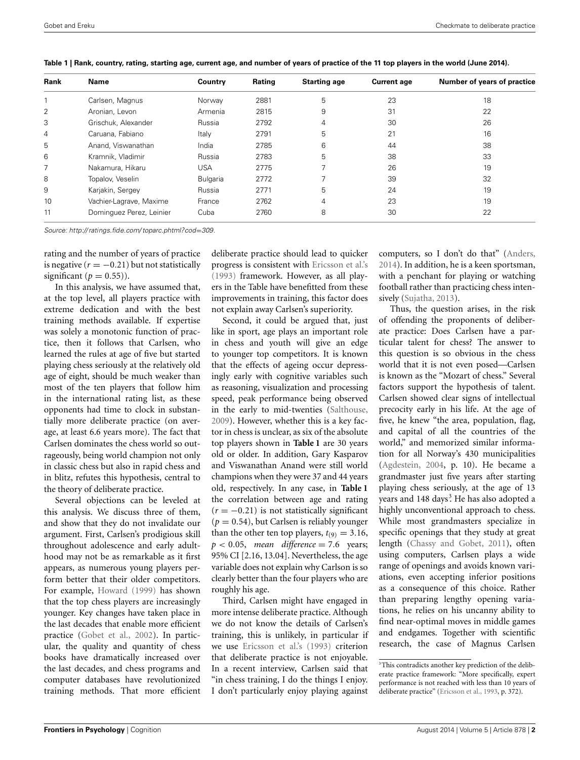| Rank           | Name                     | Country         | Rating | <b>Starting age</b> | <b>Current age</b> | Number of years of practice |
|----------------|--------------------------|-----------------|--------|---------------------|--------------------|-----------------------------|
|                | Carlsen, Magnus          | Norway          | 2881   | 5                   | 23                 | 18                          |
| 2              | Aronian, Levon           | Armenia         | 2815   | 9                   | 31                 | 22                          |
| 3              | Grischuk, Alexander      | Russia          | 2792   | $\overline{4}$      | 30                 | 26                          |
| $\overline{4}$ | Caruana, Fabiano         | Italy           | 2791   | 5                   | 21                 | 16                          |
| 5              | Anand, Viswanathan       | India           | 2785   | 6                   | 44                 | 38                          |
| 6              | Kramnik, Vladimir        | Russia          | 2783   | 5                   | 38                 | 33                          |
| 7              | Nakamura, Hikaru         | <b>USA</b>      | 2775   | ᄀ                   | 26                 | 19                          |
| 8              | Topalov, Veselin         | <b>Bulgaria</b> | 2772   | ⇁                   | 39                 | 32                          |
| 9              | Karjakin, Sergey         | Russia          | 2771   | 5                   | 24                 | 19                          |
| 10             | Vachier-Lagrave, Maxime  | France          | 2762   | $\overline{4}$      | 23                 | 19                          |
| 11             | Dominguez Perez, Leinier | Cuba            | 2760   | 8                   | 30                 | 22                          |

<span id="page-1-0"></span>**Table 1 | Rank, country, rating, starting age, current age, and number of years of practice of the 11 top players in the world (June 2014).**

*Source: [http:// ratings](http://ratings.fide.com/toparc.phtml?cod=309).fide.com/ toparc.phtml?cod*=*309.*

rating and the number of years of practice is negative  $(r = -0.21)$  but not statistically significant  $(p = 0.55)$ ).

In this analysis, we have assumed that, at the top level, all players practice with extreme dedication and with the best training methods available. If expertise was solely a monotonic function of practice, then it follows that Carlsen, who learned the rules at age of five but started playing chess seriously at the relatively old age of eight, should be much weaker than most of the ten players that follow him in the international rating list, as these opponents had time to clock in substantially more deliberate practice (on average, at least 6.6 years more). The fact that Carlsen dominates the chess world so outrageously, being world champion not only in classic chess but also in rapid chess and in blitz, refutes this hypothesis, central to the theory of deliberate practice.

Several objections can be leveled at this analysis. We discuss three of them, and show that they do not invalidate our argument. First, Carlsen's prodigious skill throughout adolescence and early adulthood may not be as remarkable as it first appears, as numerous young players perform better that their older competitors. For example, [Howard](#page-2-9) [\(1999\)](#page-2-9) has shown that the top chess players are increasingly younger. Key changes have taken place in the last decades that enable more efficient practice [\(Gobet et al., 2002\)](#page-2-10). In particular, the quality and quantity of chess books have dramatically increased over the last decades, and chess programs and computer databases have revolutionized training methods. That more efficient

deliberate practice should lead to quicker progress is consistent with [Ericsson et al.'s](#page-2-1) [\(1993\)](#page-2-1) framework. However, as all players in the Table have benefitted from these improvements in training, this factor does not explain away Carlsen's superiority.

Second, it could be argued that, just like in sport, age plays an important role in chess and youth will give an edge to younger top competitors. It is known that the effects of ageing occur depressingly early with cognitive variables such as reasoning, visualization and processing speed, peak performance being observed in the early to mid-twenties [\(Salthouse](#page-2-11), [2009](#page-2-11)). However, whether this is a key factor in chess is unclear, as six of the absolute top players shown in **[Table 1](#page-1-0)** are 30 years old or older. In addition, Gary Kasparov and Viswanathan Anand were still world champions when they were 37 and 44 years old, respectively. In any case, in **[Table 1](#page-1-0)** the correlation between age and rating  $(r = -0.21)$  is not statistically significant  $(p = 0.54)$ , but Carlsen is reliably younger than the other ten top players,  $t_{(9)} = 3.16$ ,  $p < 0.05$ , *mean difference* = 7.6 years; 95% CI [2.16, 13.04]. Nevertheless, the age variable does not explain why Carlson is so clearly better than the four players who are roughly his age.

Third, Carlsen might have engaged in more intense deliberate practice. Although we do not know the details of Carlsen's training, this is unlikely, in particular if we use [Ericsson et al.'s](#page-2-1) [\(1993\)](#page-2-1) criterion that deliberate practice is not enjoyable. In a recent interview, Carlsen said that "in chess training, I do the things I enjoy. I don't particularly enjoy playing against computers, so I don't do that" [\(Anders](#page-2-12), [2014](#page-2-12)). In addition, he is a keen sportsman, with a penchant for playing or watching football rather than practicing chess inten-sively [\(Sujatha, 2013](#page-2-13)).

Thus, the question arises, in the risk of offending the proponents of deliberate practice: Does Carlsen have a particular talent for chess? The answer to this question is so obvious in the chess world that it is not even posed—Carlsen is known as the "Mozart of chess." Several factors support the hypothesis of talent. Carlsen showed clear signs of intellectual precocity early in his life. At the age of five, he knew "the area, population, flag, and capital of all the countries of the world," and memorized similar information for all Norway's 430 municipalities [\(Agdestein, 2004](#page-2-14), p. 10). He became a grandmaster just five years after starting playing chess seriously, at the age of 13 years and 148 days<sup>3</sup>. He has also adopted a highly unconventional approach to chess. While most grandmasters specialize in specific openings that they study at great length [\(Chassy and Gobet, 2011\)](#page-2-15), often using computers, Carlsen plays a wide range of openings and avoids known variations, even accepting inferior positions as a consequence of this choice. Rather than preparing lengthy opening variations, he relies on his uncanny ability to find near-optimal moves in middle games and endgames. Together with scientific research, the case of Magnus Carlsen

<sup>&</sup>lt;sup>3</sup>This contradicts another key prediction of the deliberate practice framework: "More specifically, expert performance is not reached with less than 10 years of deliberate practice" [\(Ericsson et al., 1993,](#page-2-1) p. 372).